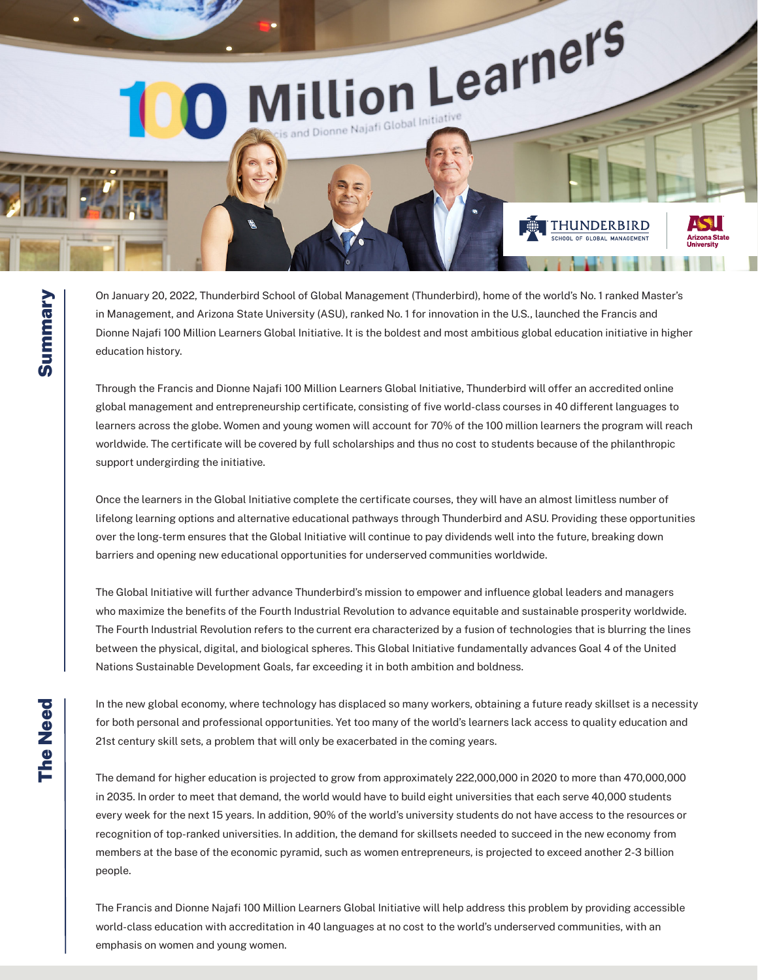

On January 20, 2022, Thunderbird School of Global Management (Thunderbird), home of the world's No. 1 ranked Master's in Management, and Arizona State University (ASU), ranked No. 1 for innovation in the U.S., launched the Francis and Dionne Najafi 100 Million Learners Global Initiative. It is the boldest and most ambitious global education initiative in higher education history.

Through the Francis and Dionne Najafi 100 Million Learners Global Initiative, Thunderbird will offer an accredited online global management and entrepreneurship certificate, consisting of five world-class courses in 40 different languages to learners across the globe. Women and young women will account for 70% of the 100 million learners the program will reach worldwide. The certificate will be covered by full scholarships and thus no cost to students because of the philanthropic support undergirding the initiative.

Once the learners in the Global Initiative complete the certificate courses, they will have an almost limitless number of lifelong learning options and alternative educational pathways through Thunderbird and ASU. Providing these opportunities over the long-term ensures that the Global Initiative will continue to pay dividends well into the future, breaking down barriers and opening new educational opportunities for underserved communities worldwide.

The Global Initiative will further advance Thunderbird's mission to empower and influence global leaders and managers who maximize the benefits of the Fourth Industrial Revolution to advance equitable and sustainable prosperity worldwide. The Fourth Industrial Revolution refers to the current era characterized by a fusion of technologies that is blurring the lines between the physical, digital, and biological spheres. This Global Initiative fundamentally advances Goal 4 of the United Nations Sustainable Development Goals, far exceeding it in both ambition and boldness.

In the new global economy, where technology has displaced so many workers, obtaining a future ready skillset is a necessity for both personal and professional opportunities. Yet too many of the world's learners lack access to quality education and 21st century skill sets, a problem that will only be exacerbated in the coming years.

The demand for higher education is projected to grow from approximately 222,000,000 in 2020 to more than 470,000,000 in 2035. In order to meet that demand, the world would have to build eight universities that each serve 40,000 students every week for the next 15 years. In addition, 90% of the world's university students do not have access to the resources or recognition of top-ranked universities. In addition, the demand for skillsets needed to succeed in the new economy from members at the base of the economic pyramid, such as women entrepreneurs, is projected to exceed another 2-3 billion people.

The Francis and Dionne Najafi 100 Million Learners Global Initiative will help address this problem by providing accessible world-class education with accreditation in 40 languages at no cost to the world's underserved communities, with an emphasis on women and young women.